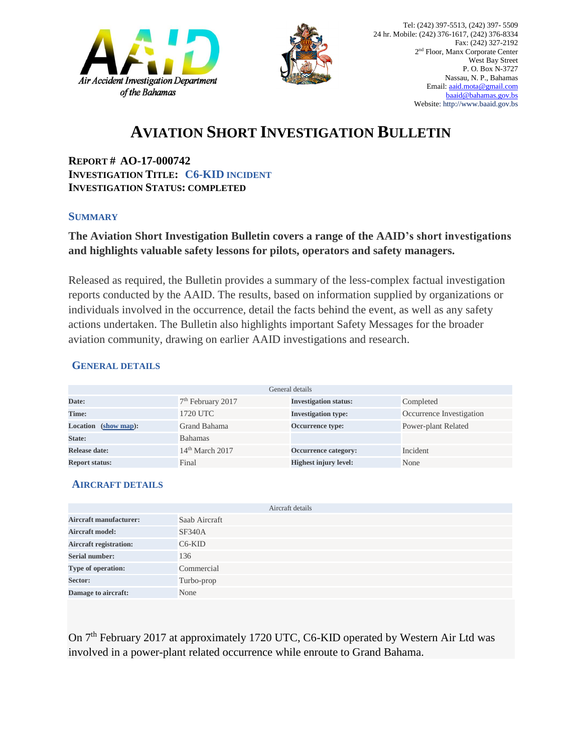



# **AVIATION SHORT INVESTIGATION BULLETIN**

**REPORT # AO-17-000742 INVESTIGATION TITLE: C6-KID INCIDENT INVESTIGATION STATUS: COMPLETED**

#### **SUMMARY**

### **The Aviation Short Investigation Bulletin covers a range of the AAID's short investigations and highlights valuable safety lessons for pilots, operators and safety managers.**

Released as required, the Bulletin provides a summary of the less-complex factual investigation reports conducted by the AAID. The results, based on information supplied by organizations or individuals involved in the occurrence, detail the facts behind the event, as well as any safety actions undertaken. The Bulletin also highlights important Safety Messages for the broader aviation community, drawing on earlier AAID investigations and research.

#### **GENERAL DETAILS**

| General details                          |                               |                              |                          |
|------------------------------------------|-------------------------------|------------------------------|--------------------------|
| Date:                                    | 7 <sup>th</sup> February 2017 | <b>Investigation status:</b> | Completed                |
| Time:                                    | 1720 UTC                      | <b>Investigation type:</b>   | Occurrence Investigation |
| <b>Location</b><br>$(\text{show map})$ : | Grand Bahama                  | Occurrence type:             | Power-plant Related      |
| State:                                   | <b>Bahamas</b>                |                              |                          |
| Release date:                            | $14th$ March 2017             | Occurrence category:         | Incident                 |
| <b>Report status:</b>                    | Final                         | <b>Highest injury level:</b> | None                     |

#### **AIRCRAFT DETAILS**

|                               | Aircraft details |
|-------------------------------|------------------|
| <b>Aircraft manufacturer:</b> | Saab Aircraft    |
| <b>Aircraft model:</b>        | <b>SF340A</b>    |
| <b>Aircraft registration:</b> | $C6-KID$         |
| <b>Serial number:</b>         | 136              |
| Type of operation:            | Commercial       |
| Sector:                       | Turbo-prop       |
| Damage to aircraft:           | None             |

On 7<sup>th</sup> February 2017 at approximately 1720 UTC, C6-KID operated by Western Air Ltd was involved in a power-plant related occurrence while enroute to Grand Bahama.